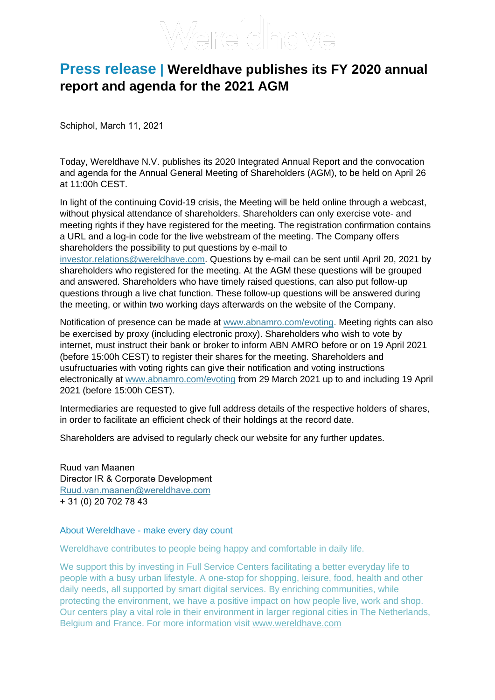## **Press release | Wereldhave publishes its FY 2020 annual report and agenda for the 2021 AGM**

Schiphol, March 11, 2021

Today, Wereldhave N.V. publishes its 2020 Integrated Annual Report and the convocation and agenda for the Annual General Meeting of Shareholders (AGM), to be held on April 26 at 11:00h CEST.

In light of the continuing Covid-19 crisis, the Meeting will be held online through a webcast, without physical attendance of shareholders. Shareholders can only exercise vote- and meeting rights if they have registered for the meeting. The registration confirmation contains a URL and a log-in code for the live webstream of the meeting. The Company offers shareholders the possibility to put questions by e-mail to [investor.relations@wereldhave.com.](mailto:investor.relations@wereldhave.com) Questions by e-mail can be sent until April 20, 2021 by

shareholders who registered for the meeting. At the AGM these questions will be grouped and answered. Shareholders who have timely raised questions, can also put follow-up questions through a live chat function. These follow-up questions will be answered during the meeting, or within two working days afterwards on the website of the Company.

Notification of presence can be made at [www.abnamro.com/evoting.](http://www.abnamro.com/evoting) Meeting rights can also be exercised by proxy (including electronic proxy). Shareholders who wish to vote by internet, must instruct their bank or broker to inform ABN AMRO before or on 19 April 2021 (before 15:00h CEST) to register their shares for the meeting. Shareholders and usufructuaries with voting rights can give their notification and voting instructions electronically at [www.abnamro.com/evoting](http://www.abnamro.com/evoting) from 29 March 2021 up to and including 19 April 2021 (before 15:00h CEST).

Intermediaries are requested to give full address details of the respective holders of shares, in order to facilitate an efficient check of their holdings at the record date.

Shareholders are advised to regularly check our website for any further updates.

Ruud van Maanen Director IR & Corporate Development Ruud.van.maanen@wereldhave.com + 31 (0) 20 702 78 43

## About Wereldhave - make every day count

Wereldhave contributes to people being happy and comfortable in daily life.

We support this by investing in Full Service Centers facilitating a better everyday life to people with a busy urban lifestyle. A one-stop for shopping, leisure, food, health and other daily needs, all supported by smart digital services. By enriching communities, while protecting the environment, we have a positive impact on how people live, work and shop. Our centers play a vital role in their environment in larger regional cities in The Netherlands, Belgium and France. For more information visit [www.wereldhave.com](http://www.wereldhave.com/)